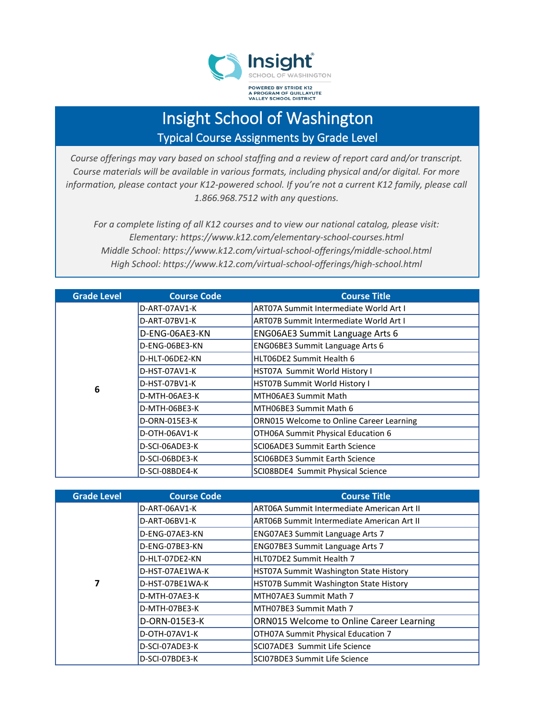

## Insight School of Washington Typical Course Assignments by Grade Level

*Course offerings may vary based on school staffing and a review of report card and/or transcript. Course materials will be available in various formats, including physical and/or digital. For more information, please contact your K12-powered school. If you're not a current K12 family, please call 1.866.968.7512 with any questions.*

*For a complete listing of all K12 courses and to view our national catalog, please visit: Elementary: https://www.k12.com/elementary-school-courses.html Middle School: https://www.k12.com/virtual-school-offerings/middle-school.html High School: https://www.k12.com/virtual-school-offerings/high-school.html*

| <b>Grade Level</b> | <b>Course Code</b> | <b>Course Title</b>                           |
|--------------------|--------------------|-----------------------------------------------|
|                    | D-ART-07AV1-K      | <b>ART07A Summit Intermediate World Art I</b> |
|                    | D-ART-07BV1-K      | <b>ART07B Summit Intermediate World Art I</b> |
|                    | D-ENG-06AE3-KN     | <b>ENGO6AE3 Summit Language Arts 6</b>        |
|                    | D-ENG-06BE3-KN     | ENG06BE3 Summit Language Arts 6               |
|                    | D-HLT-06DE2-KN     | HLT06DE2 Summit Health 6                      |
| 6                  | D-HST-07AV1-K      | HST07A Summit World History I                 |
|                    | D-HST-07BV1-K      | HST07B Summit World History I                 |
|                    | D-MTH-06AE3-K      | MTH06AE3 Summit Math                          |
|                    | D-MTH-06BE3-K      | MTH06BE3 Summit Math 6                        |
|                    | D-ORN-015E3-K      | ORN015 Welcome to Online Career Learning      |
|                    | D-OTH-06AV1-K      | OTH06A Summit Physical Education 6            |
|                    | D-SCI-06ADE3-K     | SCI06ADE3 Summit Earth Science                |
|                    | D-SCI-06BDE3-K     | SCI06BDE3 Summit Earth Science                |
|                    | D-SCI-08BDE4-K     | SCI08BDE4 Summit Physical Science             |

| <b>Grade Level</b> | <b>Course Code</b> | <b>Course Title</b>                               |
|--------------------|--------------------|---------------------------------------------------|
|                    | D-ART-06AV1-K      | ART06A Summit Intermediate American Art II        |
|                    | D-ART-06BV1-K      | <b>ART06B Summit Intermediate American Art II</b> |
|                    | D-ENG-07AE3-KN     | <b>ENG07AE3 Summit Language Arts 7</b>            |
|                    | D-ENG-07BE3-KN     | ENG07BE3 Summit Language Arts 7                   |
| 7                  | D-HLT-07DE2-KN     | HLT07DE2 Summit Health 7                          |
|                    | D-HST-07AE1WA-K    | HST07A Summit Washington State History            |
|                    | D-HST-07BE1WA-K    | HST07B Summit Washington State History            |
|                    | D-MTH-07AE3-K      | MTH07AE3 Summit Math 7                            |
|                    | D-MTH-07BE3-K      | MTH07BE3 Summit Math 7                            |
|                    | D-ORN-015E3-K      | ORN015 Welcome to Online Career Learning          |
|                    | D-OTH-07AV1-K      | OTH07A Summit Physical Education 7                |
|                    | D-SCI-07ADE3-K     | SCI07ADE3 Summit Life Science                     |
|                    | D-SCI-07BDE3-K     | SCI07BDE3 Summit Life Science                     |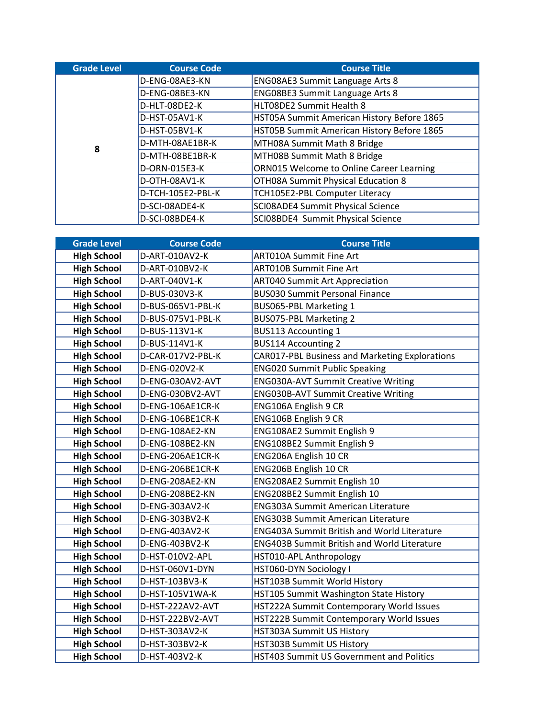| <b>Grade Level</b> | <b>Course Code</b> | <b>Course Title</b>                        |
|--------------------|--------------------|--------------------------------------------|
| 8                  | D-ENG-08AE3-KN     | <b>ENG08AE3 Summit Language Arts 8</b>     |
|                    | D-ENG-08BE3-KN     | ENG08BE3 Summit Language Arts 8            |
|                    | D-HLT-08DE2-K      | HLT08DE2 Summit Health 8                   |
|                    | D-HST-05AV1-K      | HST05A Summit American History Before 1865 |
|                    | D-HST-05BV1-K      | HST05B Summit American History Before 1865 |
|                    | D-MTH-08AE1BR-K    | MTH08A Summit Math 8 Bridge                |
|                    | D-MTH-08BE1BR-K    | MTH08B Summit Math 8 Bridge                |
|                    | D-ORN-015E3-K      | ORN015 Welcome to Online Career Learning   |
|                    | D-OTH-08AV1-K      | OTH08A Summit Physical Education 8         |
|                    | D-TCH-105E2-PBL-K  | TCH105E2-PBL Computer Literacy             |
|                    | D-SCI-08ADE4-K     | SCI08ADE4 Summit Physical Science          |
|                    | D-SCI-08BDE4-K     | SCI08BDE4 Summit Physical Science          |

| <b>Grade Level</b> | <b>Course Code</b> | <b>Course Title</b>                                |
|--------------------|--------------------|----------------------------------------------------|
| <b>High School</b> | D-ART-010AV2-K     | <b>ART010A Summit Fine Art</b>                     |
| <b>High School</b> | D-ART-010BV2-K     | <b>ART010B Summit Fine Art</b>                     |
| <b>High School</b> | D-ART-040V1-K      | <b>ART040 Summit Art Appreciation</b>              |
| <b>High School</b> | D-BUS-030V3-K      | <b>BUS030 Summit Personal Finance</b>              |
| <b>High School</b> | D-BUS-065V1-PBL-K  | BUS065-PBL Marketing 1                             |
| <b>High School</b> | D-BUS-075V1-PBL-K  | BUS075-PBL Marketing 2                             |
| <b>High School</b> | D-BUS-113V1-K      | <b>BUS113 Accounting 1</b>                         |
| <b>High School</b> | D-BUS-114V1-K      | <b>BUS114 Accounting 2</b>                         |
| <b>High School</b> | D-CAR-017V2-PBL-K  | CAR017-PBL Business and Marketing Explorations     |
| <b>High School</b> | D-ENG-020V2-K      | <b>ENG020 Summit Public Speaking</b>               |
| <b>High School</b> | D-ENG-030AV2-AVT   | <b>ENG030A-AVT Summit Creative Writing</b>         |
| <b>High School</b> | D-ENG-030BV2-AVT   | <b>ENG030B-AVT Summit Creative Writing</b>         |
| <b>High School</b> | D-ENG-106AE1CR-K   | ENG106A English 9 CR                               |
| <b>High School</b> | D-ENG-106BE1CR-K   | ENG106B English 9 CR                               |
| <b>High School</b> | D-ENG-108AE2-KN    | ENG108AE2 Summit English 9                         |
| <b>High School</b> | D-ENG-108BE2-KN    | ENG108BE2 Summit English 9                         |
| <b>High School</b> | D-ENG-206AE1CR-K   | ENG206A English 10 CR                              |
| <b>High School</b> | D-ENG-206BE1CR-K   | ENG206B English 10 CR                              |
| <b>High School</b> | D-ENG-208AE2-KN    | ENG208AE2 Summit English 10                        |
| <b>High School</b> | D-ENG-208BE2-KN    | ENG208BE2 Summit English 10                        |
| <b>High School</b> | D-ENG-303AV2-K     | <b>ENG303A Summit American Literature</b>          |
| <b>High School</b> | D-ENG-303BV2-K     | <b>ENG303B Summit American Literature</b>          |
| <b>High School</b> | D-ENG-403AV2-K     | <b>ENG403A Summit British and World Literature</b> |
| <b>High School</b> | D-ENG-403BV2-K     | <b>ENG403B Summit British and World Literature</b> |
| <b>High School</b> | D-HST-010V2-APL    | HST010-APL Anthropology                            |
| <b>High School</b> | D-HST-060V1-DYN    | HST060-DYN Sociology I                             |
| <b>High School</b> | D-HST-103BV3-K     | HST103B Summit World History                       |
| <b>High School</b> | D-HST-105V1WA-K    | HST105 Summit Washington State History             |
| <b>High School</b> | D-HST-222AV2-AVT   | HST222A Summit Contemporary World Issues           |
| <b>High School</b> | D-HST-222BV2-AVT   | HST222B Summit Contemporary World Issues           |
| <b>High School</b> | D-HST-303AV2-K     | HST303A Summit US History                          |
| <b>High School</b> | D-HST-303BV2-K     | HST303B Summit US History                          |
| <b>High School</b> | D-HST-403V2-K      | HST403 Summit US Government and Politics           |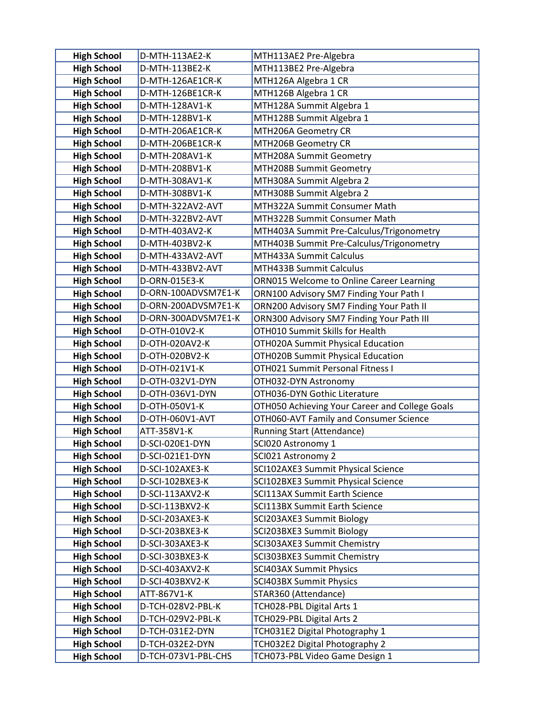| <b>High School</b>                       | D-MTH-113AE2-K                     | MTH113AE2 Pre-Algebra                                    |
|------------------------------------------|------------------------------------|----------------------------------------------------------|
| <b>High School</b>                       | D-MTH-113BE2-K                     | MTH113BE2 Pre-Algebra                                    |
| <b>High School</b>                       | D-MTH-126AE1CR-K                   | MTH126A Algebra 1 CR                                     |
| <b>High School</b>                       | D-MTH-126BE1CR-K                   | MTH126B Algebra 1 CR                                     |
| <b>High School</b>                       | D-MTH-128AV1-K                     | MTH128A Summit Algebra 1                                 |
| <b>High School</b>                       | D-MTH-128BV1-K                     | MTH128B Summit Algebra 1                                 |
| <b>High School</b>                       | D-MTH-206AE1CR-K                   | MTH206A Geometry CR                                      |
| <b>High School</b>                       | D-MTH-206BE1CR-K                   | MTH206B Geometry CR                                      |
| <b>High School</b>                       | D-MTH-208AV1-K                     | MTH208A Summit Geometry                                  |
| <b>High School</b>                       | D-MTH-208BV1-K                     | MTH208B Summit Geometry                                  |
| <b>High School</b>                       | D-MTH-308AV1-K                     | MTH308A Summit Algebra 2                                 |
| <b>High School</b>                       | D-MTH-308BV1-K                     | MTH308B Summit Algebra 2                                 |
| <b>High School</b>                       | D-MTH-322AV2-AVT                   | MTH322A Summit Consumer Math                             |
| <b>High School</b>                       | D-MTH-322BV2-AVT                   | MTH322B Summit Consumer Math                             |
| <b>High School</b>                       | D-MTH-403AV2-K                     | MTH403A Summit Pre-Calculus/Trigonometry                 |
| <b>High School</b>                       | D-MTH-403BV2-K                     | MTH403B Summit Pre-Calculus/Trigonometry                 |
| <b>High School</b>                       | D-MTH-433AV2-AVT                   | MTH433A Summit Calculus                                  |
| <b>High School</b>                       | D-MTH-433BV2-AVT                   | MTH433B Summit Calculus                                  |
| <b>High School</b>                       | D-ORN-015E3-K                      | ORN015 Welcome to Online Career Learning                 |
| <b>High School</b>                       | D-ORN-100ADVSM7E1-K                | ORN100 Advisory SM7 Finding Your Path I                  |
| <b>High School</b>                       | D-ORN-200ADVSM7E1-K                | ORN200 Advisory SM7 Finding Your Path II                 |
| <b>High School</b>                       | D-ORN-300ADVSM7E1-K                | ORN300 Advisory SM7 Finding Your Path III                |
| <b>High School</b>                       | D-OTH-010V2-K                      | OTH010 Summit Skills for Health                          |
| <b>High School</b>                       | D-OTH-020AV2-K                     | OTH020A Summit Physical Education                        |
| <b>High School</b>                       | D-OTH-020BV2-K                     | OTH020B Summit Physical Education                        |
| <b>High School</b>                       | D-OTH-021V1-K                      | OTH021 Summit Personal Fitness I                         |
| <b>High School</b>                       | D-OTH-032V1-DYN                    | OTH032-DYN Astronomy                                     |
| <b>High School</b>                       | D-OTH-036V1-DYN                    | OTH036-DYN Gothic Literature                             |
| <b>High School</b>                       | D-OTH-050V1-K                      | OTH050 Achieving Your Career and College Goals           |
| <b>High School</b>                       | D-OTH-060V1-AVT                    | OTH060-AVT Family and Consumer Science                   |
| <b>High School</b>                       | ATT-358V1-K                        | <b>Running Start (Attendance)</b>                        |
| <b>High School</b>                       | D-SCI-020E1-DYN<br>D-SCI-021E1-DYN | SCI020 Astronomy 1                                       |
| <b>High School</b><br><b>High School</b> | D-SCI-102AXE3-K                    | SCI021 Astronomy 2<br>SCI102AXE3 Summit Physical Science |
| <b>High School</b>                       | D-SCI-102BXE3-K                    | SCI102BXE3 Summit Physical Science                       |
| <b>High School</b>                       | D-SCI-113AXV2-K                    | SCI113AX Summit Earth Science                            |
| <b>High School</b>                       | D-SCI-113BXV2-K                    | SCI113BX Summit Earth Science                            |
| <b>High School</b>                       | D-SCI-203AXE3-K                    | SCI203AXE3 Summit Biology                                |
| <b>High School</b>                       | D-SCI-203BXE3-K                    | SCI203BXE3 Summit Biology                                |
| <b>High School</b>                       | D-SCI-303AXE3-K                    | SCI303AXE3 Summit Chemistry                              |
| <b>High School</b>                       | D-SCI-303BXE3-K                    | SCI303BXE3 Summit Chemistry                              |
| <b>High School</b>                       | D-SCI-403AXV2-K                    | <b>SCI403AX Summit Physics</b>                           |
| <b>High School</b>                       | D-SCI-403BXV2-K                    | <b>SCI403BX Summit Physics</b>                           |
| <b>High School</b>                       | ATT-867V1-K                        | STAR360 (Attendance)                                     |
| <b>High School</b>                       | D-TCH-028V2-PBL-K                  | TCH028-PBL Digital Arts 1                                |
| <b>High School</b>                       | D-TCH-029V2-PBL-K                  | TCH029-PBL Digital Arts 2                                |
| <b>High School</b>                       | D-TCH-031E2-DYN                    | TCH031E2 Digital Photography 1                           |
| <b>High School</b>                       | D-TCH-032E2-DYN                    | TCH032E2 Digital Photography 2                           |
| <b>High School</b>                       | D-TCH-073V1-PBL-CHS                | TCH073-PBL Video Game Design 1                           |